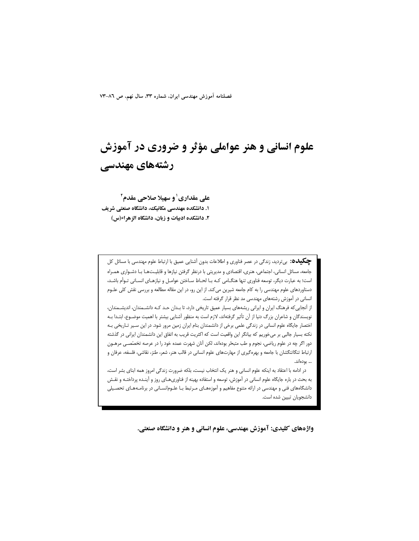فصلنامه آموزش مهندسی ایران، شماره ۳۳، سال نهم، ص ۸٦-۷۳

## علوم انسانی و هنر عواملی مؤثر و ضروری در آموزش رشتههای مهندسی

علی مقداری ٰ و سهیلا صلاحی مقدم ٔ ۱. دانشکده مهندسی مکانیک، دانشگاه صنعتی شریف ۲. دانشکده ادبیات و زبان، دانشگاه الزهراء(س)

**چگیده:** بیتردید، زندگی در عصر فناوری و اطلاعات بدون آشنایی عمیق با ارتباط علوم مهندسی با مسائل کل جامعه، مسائل انسانی، اجتماعی، هنری، اقتصادی و مدیریتی با درنظر گرفتن نیازها و قابلیـتهـا بـا دشـواری همـراه است؛ به عبارت دیگر، توسعه فناوری تنها هنگـامی کـه بـا لحـاظ سـاختن عوامـل و نیازهـای انسـانی تـوأم باشـد، دستاوردهای علوم مهندسی را به کام جامعه شیرین می کند. از این رو، در این مقاله مطالعه و بررسی نقش کلی علـوم انسانی در آموزش رشتههای مهندسی مد نظر قرار گرفته است.

از آنجایی که فرهنگ ایران و ایرانی ریشههای بسیار عمیق تاریخی دارد، تا بـدان حـد کـه دانشـمندان، اندیشـمندان، نویسندگان و شاعران بزرگ دنیا از آن تأثیر گرفتهاند، لازم است به منظور آشنایی بیشتر با اهمیت موضـوع، ابتـدا بـه اختصار جایگاه علوم انسانی در زندگی علمی برخی از دانشمندان بنام ایران زمین مرور شود. در این سیر تـاریخی بـه نکته بسیار جالبی بر میخوریم که بیانگر این واقعیت است که اکثریت قریب به اتفاق این دانشمندان ایرانی در گذشته دور اگر چه در علوم ریاضی، نجوم و طب متبحّر بودهاند، لکن آنان شهرت عمده خود را در عرصه تخصّصـی مرهـون ارتباط تنگاتنگشان با جامعه و بهرهگیری از مهارتهای علوم انسانی در قالب هنر، شعر، طنز، نقاشی، فلسفه، عرفان و … بودەاند.

در ادامه با اعتقاد به اینکه علوم انسانی و هنر یک انتخاب نیست، بلکه ضرورت زندگی امروز همه ابنای بشر است، به بحث در باره جایگاه علوم انسانی در آموزش، توسعه و استفاده بهینه از فناوریهـای روز و آینـده پرداختـه و نقـش دانشگاههای فنی و مهندسی در ارائه متنوع مفاهیم و آموزههـای مـرتبط بـا علـوم|نسـانی در برنامـههـای تحصـیلی دانشجويان تبيين شده است.

واژههای کلیدی: آموزش مهندسی، علوم انسانی و هنر و دانشگاه صنعتی.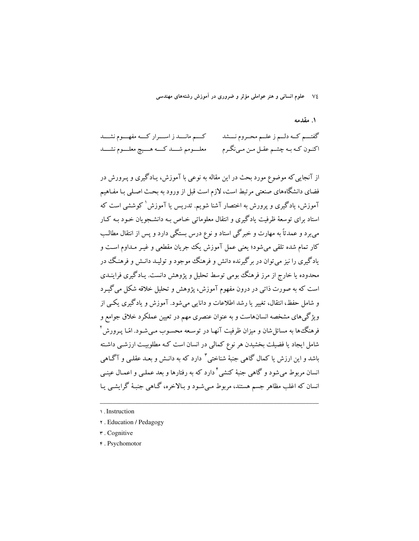٧٤ \_ علوم انساني و هنر عواملي مؤثر و ضروري در آموزش رشتههاي مهندسي

۱. مقدمه

كسم مانسد ز اسسرار كسه مفهسوم نشسد گفتـــم كــه دلــم ز علــم محــروم نـــشد اکنـون کـه بـه چشـم عقـل مـن مـينگـرم معلسومم شسمد كسمه هسميچ معلسوم نشسمد

از آنجایی که موضوع مورد بحث در این مقاله به نوعی با آموزش، یـادگیری و پـرورش در فضای دانشگاههای صنعتی مرتبط است، لازم است قبل از ورود به بحث اصلی بـا مفـاهیم آموزش، یادگیری و پرورش به اختصار آشنا شویم. تدریس یا آموزش<sup>\</sup> کوششی است که استاد برای توسعهٔ ظرفیت یادگیری و انتقال معلوماتی خـاص بـه دانشـجویان خـود بـه کـار می برد و عمدتاً به مهارت و خبرگی استاد و نوع درس بستگی دارد و پس از انتقال مطالب کار تمام شده تلقی می شود؛ یعنی عمل آموزش یک جریان مقطعی و غیـر مـداوم اسـت و یادگیری را نیز می توان در برگیرنده دانش و فرهنگ موجود و تولیـد دانـش و فرهنـگ در محدوده یا خارج از مرز فرهنگ بومی توسط تحلیل و پژوهش دانست. یـادگیری فراینــدی است که به صورت ذاتبی در درون مفهوم آموزش، پژوهش و تحلیل خلاقه شکل می گیـرد و شامل حفظ، انتقال، تغییر یا رشد اطلاعات و دانایی می شود. آموزش و یادگیری یکبی از ویژگی های مشخصه انسانهاست و به عنوان عنصری مهم در تعیین عملکرد خلاق جوامع و فرهنگءا به مسائل شان و میزان ظرفیت آنهـا در توسـعه محسـوب مـی شـود. امّـا یـرورش <sup>۲</sup> شامل ایجاد یا فضیلت بخشیدن هر نوع کمالی در انسان است کـه مطلوبیـت ارزشـی داشـته باشد و این ارزش یا کمال گاهی جنبهٔ شناختی <sup>۳</sup> دارد که به دانـش و بعـد عقلـی و آگـاهی انسان مربوط می شود و گاهی جنبهٔ کنشی <sup>۴</sup> دارد که به رفتارها و بعد عملـی و اعمـال عبنـی انسان که اغلب مظاهر جسم هستند، مربوط مـیشـود و بـالاخره، گـاهی جنبـهٔ گرایشـی یـا

- **r**. Education / Pedagogy
- r. Cognitive
- ۴. Psychomotor

<sup>\ .</sup> Instruction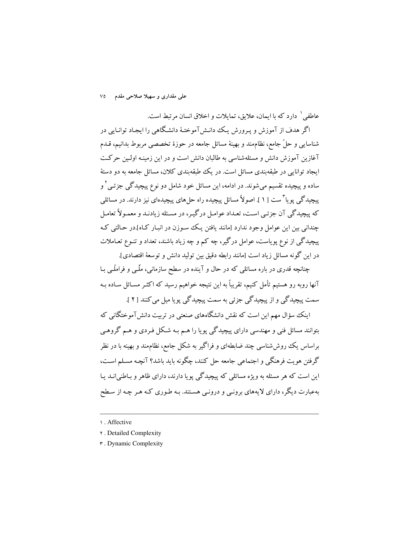علی مقداری و سهیلا صلاحی مقدم V٥

عاطفي ` دارد كه با ايمان، علايق، تمايلات و اخلاق انسان مرتبط است. اگر هدف از آموزش و پـرورش یـک دانـش آموختـهٔ دانشـگاهی را ایجـاد توانـایی در شناسایی و حلّ جامع، نظامِمند و بهینهٔ مسائل جامعه در حوزهٔ تخصصی مربوط بدانیم، قـدم آغازین آموزش دانش و مسئلهشناسی به طالبان دانش است و در این زمینـه اولـین حرکـت ایجاد توانایی در طبقهبندی مسائل است. در یک طبقهبندی کلان، مسائل جامعه به دو دستهٔ ساده و پیچیده تقسیم می شوند. در ادامه، این مسائل خود شامل دو نوع پیچیدگی جزئـی <sup>۲</sup> و پیچیدگی پویا "ست [ ۱ ]. اصولاً مسائل پیچیده راه حل های پیچیدهای نیز دارند. در مسائلی که پیچیدگی آن جزئـی اسـت، تعـداد عوامـل درگیـر، در مسـئله زیادنـد و معمـولاً تعامـل چندانی بین این عوامل وجود ندارد [مانند یافتن یک سوزن در انبـار کـاه].در حـالتی کـه پیچیدگی از نوع یوپاست، عوامل درگیر، چه کم و چه زیاد باشند، تعداد و تنـوع تعـاملات در اين گونه مسائل زياد است [مانند رابطه دقيق بين توليد دانش و توسعهٔ اقتصادي].

چنانچه قدری در باره مسائلی که در حال و آینده در سطح سازمانی، ملّـبی و فراملّـبی بـا آنها روبه رو هستیم تأمل کنیم، تقریباً به این نتیجه خواهیم رسید که اکثـر مسـائل سـاده بـه سمت پیچیدگی و از پیچیدگی جزئی به سمت پیچیدگی پویا میل می کنند [ ۲ ].

اینک سؤال مهم این است که نقش دانشگاههای صنعتی در تربیت دانش آموختگانی که بتوانند مسائل فنی و مهندسی دارای پیچیدگی پویا را هـم بـه شـکل فـردی و هـم گروهـی براساس یک روشششناسی چند ضابطهای و فراگیر به شکل جامع، نظاممند و بهینه با در نظر گرفتن هویت فرهنگی و اجتماعی جامعه حل کنند، چگونه باید باشد؟ آنچـه مسـلم اسـت، این است که هر مسئله به ویژه مسائلی که پیچیدگی یویا دارند، دارای ظاهر و پاطنه انید بیا بهعبارت دیگر، دارای لایههای برونبی و درونبی هستند. بـه طـوری کـه هـر چـه از سـطح

<sup>1.</sup> Affective

**r** . Detailed Complexity

**r** . Dynamic Complexity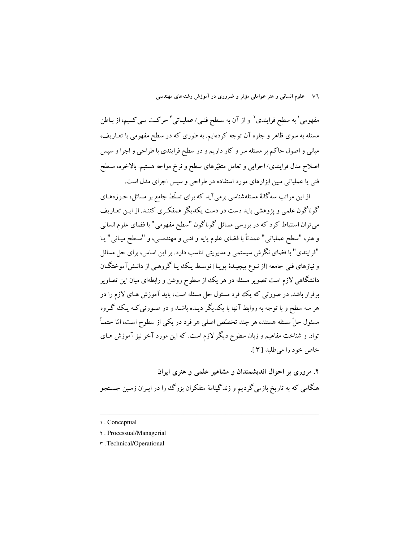۷٦ - علوم انسانی و هنر عواملی مؤثر و ضروری در آموزش رشتههای مهندسی

مفهومی ٰ به سطح فرایندی ٗ و از آن به سطح فنبی/عملیـاتی ؑ حرکـت مـی کنـیم، از بـاطن مسئله به سوی ظاهر و جلوه آن توجه کردهایم. به طوری که در سطح مفهومی با تعـاریف، مبانی و اصول حاکم بر مسئله سر و کار داریم و در سطح فرایندی با طراحی و اجرا و سپس اصلاح مدل فرایندی/اجرایی و تعامل متغیّرهای سطح و نرخ مواجه هستیم. بالاخره، سـطح فنی یا عملیاتی مبین ابزارهای مورد استفاده در طراحی و سپس اجرای مدل است.

از این مراتب سه گانهٔ مسئلهشناسی برمی آید که برای تسلّط جامع بر مسائل، حـوزههـای گوناگون علمی و یژوهشی باید دست در دست یکدیگر همفکری کننـد. از ایـن تعـاریف می توان استنباط کرد که در بررسی مسائل گوناگون "سطح مفهومی" با فضای علوم انسانی و هنر، "سطح عملياتي" عمدتاً با فضاي علوم پايه و فنبي و مهندسـي، و "سـطح ميـاني" يـا "فرایندی" با فضای نگرش سیستمی و مدیریتی تناسب دارد. بر این اساس، برای حل مسائل و نیازهای فنی جامعه [از نـوع پیچیـدهٔ پویـا] توسـط یـک یـا گروهـی از دانـش(آموختگـان دانشگاهی لازم است تصویر مسئله در هر یک از سطوح روشن و رابطهای میان این تصاویر برقرار باشد. در صورتی که یک فرد مسئول حل مسئله است، باید آموزش هـای لازم را در هر سه سطح و با توجه به روابط آنها با یکدیگر دیـده باشـد و در صـورتبی کـه یـک گـروه مسئول حلِّ مسئله هستند، هر چند تخصِّص اصلی هر فرد در یکی از سطوح است، امّا حتمـاً توان و شناخت مفاهیم و زبان سطوح دیگر لازم است. که این مورد آخر نیز آموزش هـای خاص خود را مي طلبد [٣].

۲. مروری بر احوال اندیشمندان و مشاهیر علمی و هنری ایران هنگامی که به تاریخ بازمی گردیم و زندگینامهٔ متفکران بزرگ را در ایـران زمـین جسـتجو

- ۲. Processual/Managerial
- **\*** . Technical/Operational

<sup>1.</sup> Conceptual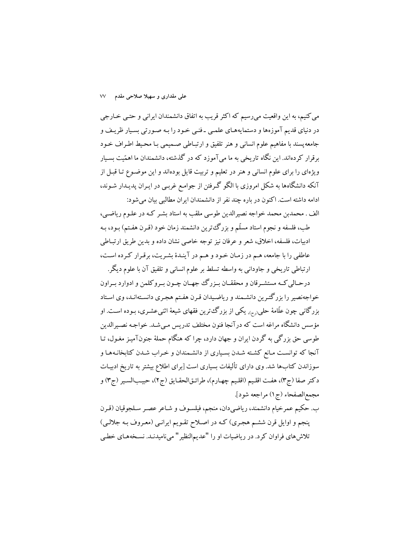می کنیم، به این واقعیت می رسیم که اکثر قریب به اتفاق دانشمندان ایرانی و حتبی خـارجی در دنیای قدیم آموزهها و دستمایههـای علمـی ـ فنـی خـود را بـه صـورتی بسـیار ظریـف و جامعه پسند با مفاهیم علوم انسانی و هنر تلفیق و ارتبـاطی صـمیمی بـا محـیط اطـراف خـود برقرار کردهاند. این نگاه تاریخی به ما می آموزد که در گذشته، دانشمندان ما اهمّیت بسیار ویژهای را برای علوم انسانی و هنر در تعلیم و تربیت قایل بودهاند و این موضوع تـا قبـل از آنکه دانشگاهها به شکل امروزی با الگو گـرفتن از جوامـع غربـی در ایـران پدیـدار شـوند، ادامه داشته است. اکنون در باره چند نفر از دانشمندان ایران مطالبی بیان می شود:

الف . محمدبن محمد خواجه نصیرالدین طوسی ملقب به استاد بشـر کـه در علـوم ریاضـی، طب، فلسفه و نجوم استاد مسلّم و بزرگءترین دانشمند زمان خود (قـرن هفـتم) بـود، بـه ادبیات، فلسفه، اخلاق، شعر و عرفان نیز توجه خاصی نشان داده و بدین طریق ارتبـاطی عاطفی را با جامعه، هـم در زمـان خـود و هـم در آينـدۀ بشـريت، برقـرار كـرده اسـت،

ارتباطي تاريخي و جاوداني به واسطه تسلط بر علوم انساني و تلفيق آن با علوم ديگر. درحـالي كـه مستشـرقان و محققــان بــزرگ جهــان چــون بــروكلمن و ادوارد بــراون خواجهنصیر را بزرگتـرین دانشـمند و ریاضـیدان قـرن هفـتم هجـری دانسـتهانـد، وی اسـتاد بزرگانی چون علّامهٔ حلبی<sub>(رح)،</sub> یکی از بزرگءترین فقهای شیعهٔ اثنیعشـری، بـوده اسـت. او مؤسس دانشگاه مراغه است که درآنجا فنون مختلف تدریس مـیشـد. خواجـه نصـیرالدین طوسي حق بزرگي به گردن ايران و جهان دارد، چرا كه هنگام حملهٔ جنونآميـز مغـول، تـا آنجا که توانست مانع کشته شدن بسیاری از دانشمندان و خراب شدن کتابخانـههـا و سوزاندن کتابها شد. وی دارای تألیفات بسیاری است [برای اطلاع بیشتر به تاریخ ادبیـات دكتر صفا (ج٣)، هفت اقليم (اقليم چهارم)، طرائـقالحقـايق (ج٢)، حبيبالسـير (ج٣) و مجمع|الصفحاء (ج١) مراجعه شود].

ب. حكيم عمرخيام دانشمند، رياضي دان، منجم، فيلسـوف و شـاعر عصـر سـلجوقيان (قـرن پنجم و اوایل قرن ششم هجری) کـه در اصـلاح تقـویم ایرانـی (معـروف بـه جلالـی) تلاش های فراوان کرد. در ریاضیات او را "عدیمالنظیر" میiامیدنـد. نسـخههـای خطـی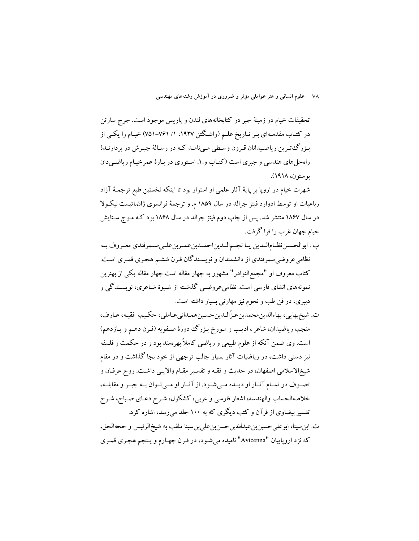۷۸ ـ علوم انسانی و هنر عواملی مؤثر و ضروری در آموزش رشتههای مهندسی

تحقیقات خیام در زمینهٔ جبر در کتابخانههای لندن و پاریس موجود است. جرج سارتن در کتـاب مقدمـهای بـر تـاریخ علـم (واشـگتن ۱۹۲۷، ۱/ ۷۶۱–۷۵۱) خیـام را یکــی از بـزرگ،تـرين رياضـيدانان قـرون وسـطى مـىنامـد كـه در رسـالهٔ جبـرش در بردارنـدهٔ راه حل های هندسی و جبری است (کتـاب و.۱. اسـتوری در بـارهٔ عمر خیـام ریاضـی دان يو ستون، ١٩١٨).

شهرت خیام در اروپا بر پایهٔ آثار علمی او استوار بود تا اینکه نخستین طبع ترجمـهٔ آزاد رباعیات او توسط ادوارد فیتز جرالد در سال ۱۸۵۹ م. و ترجمهٔ فرانسوی ژانباتیست نیکـولا در سال ۱۸۶۷ منتشر شد. پس از چاپ دوم فیتز جرالد در سال ۱۸۶۸ بود کـه مـوج سـتایش خيام جهان غرب را فرا گرفت.

- پ . ابوالحسـن نظـامالـدين يـا نجـمالـديناحمـدبنعمـربنعلـىسـمرقندي معـروف بـه نظامی عروضی سمرقندی از دانشمندان و نویسـندگان قـرن ششـم هجـری قمـری اسـت. کتاب معروف او "مجمع|لنوادر" مشهور به چهار مقاله است.چهار مقاله یکی از بهترین نمونههای انشای فارسی است. نظامیعروضبی گذشته از شیوهٔ شـاعری، نویسـندگی و دبیری، در فن طب و نجوم نیز مهارتی بسیار داشته است.
- ت. شيخېهايي، بهاءالدين محمدبن عـزّالـدين حسـين همـداني عـاملي، حكـيم، فقيـه، عـارف، منجم، ریاضیدان، شاعر ، ادیب و مـورخ بـزرگ دورهٔ صـفویه (قـرن دهـم و یـازدهم) است. وي ضمن آنكه از علوم طبيعي و رياضي كاملاً بهرهمند بود و در حكمت و فلسفه نیز دستی داشت، در ریاضیات آثار بسیار جالب توجهی از خود بجا گذاشت و در مقام شيخالاسلامي اصفهان، در حديث و فقـه و تفسـير مقـام والايـي داشـت. روح عرفـان و تصوف در تمـام آثـار او ديـده مـىشـود. از آثـار او مـىتوان بـه جبـر و مقابلـه، خلاصهالحساب والهندسه، اشعار فارسي و عربي، كشكول، شـرح دعـاي صـباح، شـرح تفسیر بیضاوی از قرآن و کتب دیگری که به ۱۰۰ جلد می رسد، اشاره کرد.
- ث. ابن سينا، ابوعلي حسين بن عبدالله بن حسن بن علي بن سينا ملقب به شيخالر ئيس و حجه الحق، كه نزد اروپاييان "Avicenna" ناميده مي شـود، در قـرن چهـارم و پـنجم هجـري قمـري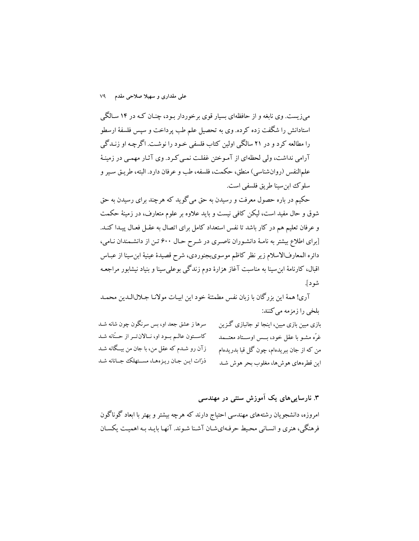میزیست. وی نابغه و از حافظهای بسیار قوی برخوردار بـود، چنــان کـه در ۱۴ ســالگی استادانش را شگفت زده کرده. وی به تحصیل علم طب پرداخت و سپس فلسفهٔ ارسطو را مطالعه کرد و در ۲۱ سالگی اولین کتاب فلسفی خـود را نوشـت. اگرچـه او زنـدگی آرامی نداشت، ولی لحظهای از آموختن غفلت نمبی کرد. وی آثـار مهمـی در زمینـهٔ علمالنفس (روانشناسي) منطق، حكمت، فلسفه، طب و عرفان دارد. البته، طريـق سـير و سلو کُ این سنا طریق فلسفی است.

حکیم در باره حصول معرفت و رسیدن به حق میگوید که هرچند برای رسیدن به حق شوق و حال مفید است، لیکن کافی نیست و باید علاوه بر علوم متعارف، در زمینهٔ حکمت و عرفان تعلیم هم در کار باشد تا نفس استعداد کامل برای اتصال به عقـل فعـال پیـدا کنـد. [برای اطلاع بیشتر به نامـهٔ دانشـوران ناصـری در شـرح حـال ۶۰۰ تـن از دانشـمندان نـامی، دائره المعارفالاسلام زير نظر كاظم موسوىبجنوردي، شرح قصيدهٔ عينيهٔ ابن سينا از عبـاس اقبال، کارنامهٔ ابن سینا به مناسبت آغاز هزارهٔ دوم زندگی بوعلی سینا و بنیاد نیشابور مراجعـه شو د].

آري! همهٔ اين بزرگان با زبان نفس مطمئنهٔ خود اين ابيـات مولانـا جـلالالـدين محمـد بلخي را زمزمه مي كنند:

| سرها ز عشق جعد او، بس سرنگون چون شانه شـد             | بازی مبین بازی مبین، اینجا تو جانبازی گـزین    |
|-------------------------------------------------------|------------------------------------------------|
| كاســتون عالــم بــود او، نــالانتــر از حــنّانه شـد | غرّه مشـو با عقل خود، بـــس اوســـتاد معتـــمد |
| زآن رو شــدم که عقل من، با جان من بیــگانه شــد       | من که از جان ببریدهام، چون گل قبا بدریدهام     |
| ذرّات ایـن جـان ریـزههـا، مســتهلك جــانانه شـد       | این قطرههای هوشها، مغلوب بحر هوش شـد           |

## ۳. نارسایے های یک آموزش سنتی در مهندسی

امروزه، دانشجویان رشتههای مهندسی احتیاج دارند که هرچه بیشتر و بهتر با ابعاد گوناگون فرهنگی، هنری و انسـانی محـیط حرفـهایشـان آشـنا شـوند. آنهـا بایـد بـه اهمیـت یکسـان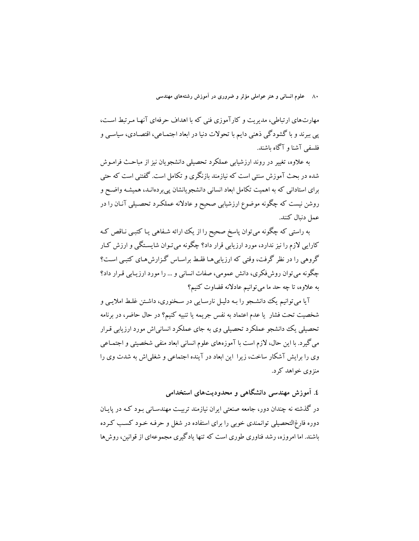۸۰ \_ علوم انسانی و هنر عواملی مؤثر و ضروری در آموزش رشتههای مهندسی

مهارتهای ارتباطی، مدیریت و کارآموزی فنی که با اهداف حرفهای آنهـا مـرتبط اسـت، پی ببرند و با گشودگی ذهنی دایم با تحولات دنیا در ابعاد اجتمـاعی، اقتصـادی، سیاسـی و فلسفي آشنا و آگاه پاشند.

به علاوه، تغییر در روند ارزشیابی عملکرد تحصیلی دانشجویان نیز از مباحث فرامـوش شده در بحث آموزش سنتی است که نیازمند بازنگری و تکامل است. گفتنی است که حتی برای استادانی که به اهمیت تکامل ابعاد انسانی دانشجویانشان پی بردهانـد، همیشـه واضـح و روشن نیست که چگونه موضوع ارزشیابی صحیح و عادلانه عملکـرد تحصـیلی آنـان را در عمل دنبال كنند.

به راستی که چگونه می توان پاسخ صحیح را از یک ارائه شـفاهی یـا کتبـی نـاقص کـه کارایی لازم را نیز ندارد، مورد ارزیابی قرار داد؟ چگونه می تـوان شایسـتگی و ارزش کـار گروهی را در نظر گرفت، وقتی که ارزیابی هـا فقـط براسـاس گـزارش هـای کتبـی اسـت؟ چگونه می توان روش،فکری، دانش عمومی، صفات انسانی و … را مورد ارزیـابی قـرار داد؟ به علاوه، تا چه حد ما می توانیم عادلانه قضاوت کنیم؟

آیا میتوانیم یک دانشجو را بـه دلیـل نارسـایی در سـخنوری، داشـتن غلـط املایـی و شخصیت تحت فشار یا عدم اعتماد به نفس جریمه یا تنبیه کنیم؟ در حال حاضر، در برنامه تحصیلی یک دانشجو عملکرد تحصیلی وی به جای عملکرد انسانی اش مورد ارزیابی قـرار مي گيرد. با اين حال، لازم است با آموزههاي علوم انساني ابعاد منفي شخصيتي و اجتمـاعي وی را برایش آشکار ساخت، زیرا این ابعاد در آینده اجتماعی و شغلی اش به شدت وی را منزوی خواهد کرد.

٤. آموزش مهندسی دانشگاهی و محدودیتهای استخدامی

در گذشته نه چندان دور، جامعه صنعتی ایران نیازمند تربیت مهندسـانی بـود کـه در پایـان دوره فارغ|لتحصیلی توانمندی خوبی را برای استفاده در شغل و حرفـه خـود کسـب کـرده باشند. اما امروزه، رشد فناوری طوری است که تنها یادگیری مجموعهای از قوانین، روش ها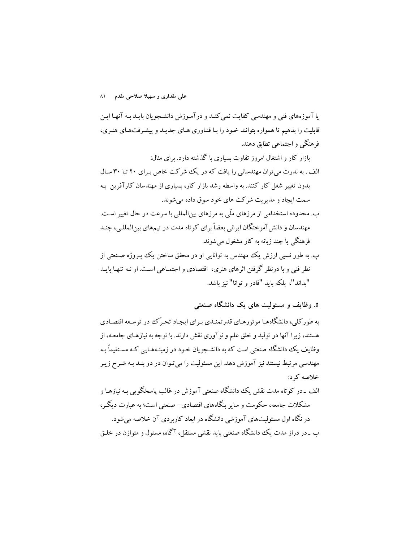علی مقداری و سهیلا صلاحی مقدم ۸۱

یا آموزههای فنی و مهندسی کفایت نمی کنـد و درآمـوزش دانشـجویان بایـد بـه آنهـا ایـن قابلیت را بدهیم تا همواره بتوانند خـود را بـا فنـاوري هـاي جديـد و پيشـرفتهاي هنـري، فرهنگی و اجتماعی تطابق دهند.

بازار کار و اشتغال امروز تفاوت بسیاری با گذشته دارد. برای مثال: الف . به ندرت می توان مهندسانی را یافت که در یک شرکت خاص برای ۲۰ تا ۳۰ سال بدون تغییر شغل کار کنند. به واسطه رشد بازار کار، بسیاری از مهندسان کارآفرین به سمت ایجاد و مدیریت شرکت های خود سوق داده می شوند. ب. محدوده استخدامی از مرزهای ملّی به مرزهای بینالمللی با سرعت در حال تغییر است.

مهندسان و دانش آموختگان ایرانی بعضاً برای کوتاه مدت در تیمهای بینالمللـی، چنـد فرهنگی یا چند زبانه به کار مشغول میشوند.

پ. به طور نسبی ارزش یک مهندس به توانایی او در محقق ساختن یک پیروژه صنعتی از نظر فني و با درنظر گرفتن اثرهاي هنري، اقتصادي و اجتمـاعي اسـت. او نـه تنهـا بايـد "بداند"، بلكه بايد "قادر و توانا" نيز باشد.

۵. وظایف و مسئولیت های یک دانشگاه صنعتی

به طور کلی، دانشگاههـا موتورهـاي قدرتمنـدي بـراي ايجـاد تحـرک در توسـعه اقتصـادي هستند، زیرا آنها در تولید و خلق علم و نوآوری نقش دارند. با توجه به نیازهـای جامعـه، از وظایف یک دانشگاه صنعتی است که به دانشجویان خـود در زمینـههـایی کـه مسـتقیماً بـه مهندسی مرتبط نیستند نیز آموزش دهد. این مسئولیت را میتوان در دو بنـد بـه شـرح زیـر خلاصه که د:

الف ۔در کو تاه مدت نقش یک دانشگاه صنعتی آموزش در غالب پاسخگویی بـه نیازهـا و مشکلات جامعه، حکومت و سایر بنگاههای اقتصادی–صنعتی است؛ به عبارت دیگـر، در نگاه اول مسئولیتهای آموزشی دانشگاه در ابعاد کاربردی آن خلاصه می شود. ب ـ در دراز مدت یک دانشگاه صنعتی باید نقشی مستقل، آگاه، مسئول و متوازن در خلـق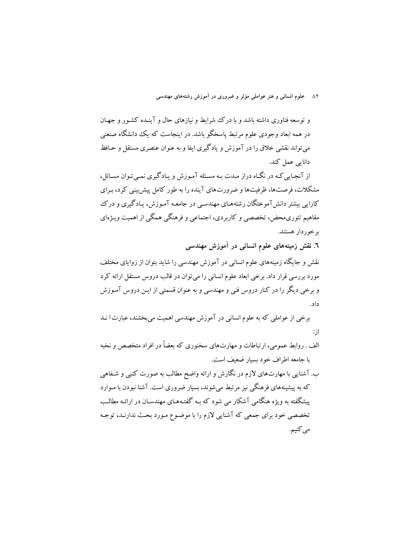۸۲ ـ علوم انسانی و هنر عواملی مؤثر و ضروری در آموزش رشتههای مهندسی

و توسعه فناوری داشته باشد و با درک شرایط و نیازهای حال و آینـده کشـور و جهـان در همه ابعاد وجودی علوم مرتبط پاسخگو باشد. در اینجاست که یک دانشگاه صنعتبی می تواند نقشی خلاق را در آموزش و یادگیری ایفا و به عنوان عنصری مستقل و حـافظ دانایی عمل کند.

از آنجـایی کـه در نگـاه دراز مـدت بـه مسـئله آمـوزش و پـادگیری نمـی تـوان مسـائل، مشکلات، فرصتها، ظرفیتها و ضرورتهای آینده را به طور کامل پیش بینی کرد، بـرای کارایی بیشتر دانشآموختگان رشتههـای مهندسـی در جامعـه آمـوزش، یـادگیری و درک مفاهیم تئوریمحض، تخصصی و کاربردی، اجتماعی و فرهنگی همگی از اهمیت ویـژهای برخوردار هستند.

٦. نقش زمینههای علوم انسانی در آموزش مهندسی

نقش و جایگاه زمینههای علوم انسانی در آموزش مهندسی را شاید بتوان از زوایای مختلف مورد بررسی قرار داد. برخی ابعاد علوم انسانی را می توان در قالب دروس مستقل ارائه کرد و برخی دیگر را در کنار دروس فنی و مهندسی و به عنوان قسمتی از ایـن دروس آمـوزش داد.

برخی از عواملی که به علوم انسانی در آموزش مهندسی اهمیت میبخشند، عبارت ا نـد  $:$   $\mathcal{I}$ 

الف . روابط عمومی، ارتباطات و مهارتهای سخنوری که بعضاً در افراد متخصص و نخبه با جامعه اطراف خود بسيار ضعيف است.

ب. آشنایی با مهارتهای لازم در نگارش و ارائه واضح مطالب به صورت کتبی و شـفاهی که به پیشینههای فرهنگی نیز مرتبط می شوند، بسیار ضروری است. آشنا نبودن با میوارد ییشگفته به ویژه هنگامی آشکار می شود که بـه گفتـههـای مهندسـان در ارائـه مطالـب تخصصی خود برای جمعی که آشنایی لازم را با موضـوع مـورد بحـث ندارنـد، توجـه مى كنيم.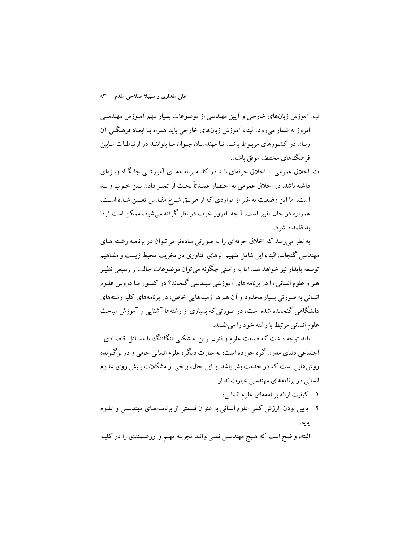ب. آموزش زبانهای خارجی و آیین مهندسی از موضوعات بسیار مهم آمـوزش مهندسـی امروز به شمار میرود. البته، آموزش زبانهای خارجی باید همراه بـا ابعـاد فرهنگــی آن زبـان در كشـورهاي مربـوط باشـد تـا مهندسـان جـوان مـا بتواننـد در ارتباطـات مـابين فرهنگءهای مختلف موفق باشند.

ت. اخلاق عمومی یا اخلاق حرفهای باید در کلیـه برنامـههـای آموزشـم جایگـاه ویـژهای داشته باشد. در اخلاق عمومی به اختصار عمدتاً بحث از تمیـز دادن بـین خـوب و بـد است. اما این وضعیت به غیر از مواردی که از طریق شرع مقـدس تعیـین شـده اسـت، همواره در حال تغییر است. آنچه امروز خوب در نظر گرفته میشود، ممکن است فردا ىد قلمداد شو د.

به نظر می رسد که اخلاق حرفهای را به صورتی سادهتر می تـوان در برنامـه رشـته هـای مهندسی گنجاند. البته، این شامل تفهیم اثرهای فناوری در تخریب محیط زیست و مفـاهیم توسعه پایدار نیز خواهد شد. اما به راستی چگونه می توان موضوعات جالب و وسیعی نظیـر هنر و علوم انسانی را در برنامه های آموزشی مهندسی گنجاند؟ در کشـور مـا دروس علـوم انسانی به صورتی بسیار محدود و آن هم در زمینههایی خاص، در برنامههای کلیه رشتههای دانشگاهی گنجانده شده است، در صورتی که بسیاری از رشتهها آشنایی و آموزش مباحث علوم انسانی مرتبط با رشته خود را می طلبند.

باید توجه داشت که طبیعت علوم و فنون نوین به شکلی تنگاتنگ با مسـائل اقتصـادی− اجتماعی دنیای مدرن گره خورده است؛ به عبارت دیگر، علوم انسانی حامی و در برگیرنده روشهایی است که در خدمت بشر باشد. با این حال، برخی از مشکلات پـیش روی علـوم انسانی در برنامههای مهندسی عبارتاند از:

- ١. كيفيت ارائه برنامههاي علوم انساني؛
- ۲. پایین بودن ارزش کمّی علوم انسانی به عنوان قسمتی از برنامـههـای مهندسـی و علـوم يايه.

البته، واضح است که هیچ مهندسی نمی توانـد تجربـه مهـم و ارزشـمندی را در کلیـه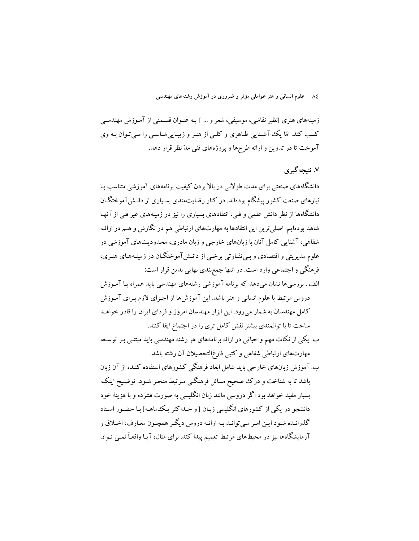۸۶ ـ علوم انسانی و هنر عواملی مؤثر و ضروری در آموزش رشتههای مهندسی

زمینههای هنری [نظیر نقاشی، موسیقی، شعر و … ] بـه عنـوان قسـمتی از آمـوزش مهندسـی کسب کند. امّا یک آشنایی ظـاهری و کلـی از هنـر و زیبـاییشناسـی را مـی تـوان بـه وی آموخت تا در تدوین و ارائه طرحها و یروژههای فنی مدّ نظر قرار دهد.

## ۷. نتیجه گیر ی

دانشگاههای صنعتی برای مدت طولانی در بالا بردن کیفیت برنامههای آموزشی متناسب بـا نیازهای صنعت کشور پیشگام بودهاند. در کنار رضایتمندی بسیاری از دانـش آموختگـان دانشگاهها از نظر دانش علمی و فنی، انتقادهای بسیاری را نیز در زمینههای غیر فنی از آنهـا شاهد بودهایم. اصلی ترین این انتقادها به مهارتهای ارتباطی هم در نگارش و هـم در ارائـه .<br>شفاهی، آشنایی کامل آنان با زبانهای خارجی و زبان مادری، محدودیتهای آموزشی در علوم مدیریتی و اقتصادی و ببی تفـاوتی برخـبی از دانـش آموختگــان در زمینـههـای هنـری، فرهنگی و اجتماعی وارد است. در انتها جمع بندی نهایی بدین قرار است:

الف . بررسیها نشان میدهد که برنامه آموزشی رشتههای مهندسی باید همراه بـا آمـوزش دروس مرتبط با علوم انسانی و هنر باشد. این آموزشها از اجزای لازم بـرای آمـوزش کامل مهندسان به شمار میرود. این ابزار مهندسان امروز و فردای ایران را قادر خواهـد ساخت تا با توانمندی بیشتر نقش کامل تری را در اجتماع ایفا کنند.

ب. یکی از نکات مهم و حیاتی در ارائه برنامههای هر رشته مهندسی باید مبتنبی بـر توسـعه مهارتهای ارتباطی شفاهی و کتبی فارغ|لتحصیلان آن رشته باشد.

پ. آموزش زبانهای خارجی باید شامل ابعاد فرهنگی کشورهای استفاده کننده از آن زبان باشد تا به شناخت و درک صحیح مسائل فرهنگبی مـرتبط منجـر شـود. توضـیح اینکـه بسیار مفید خواهد بود اگر دروسی مانند زبان انگلیسی به صورت فشرده و با هزینهٔ خود دانشجو در یکی از کشورهای انگلیسی زبـان [و حـداکثر یـکـهاهـه] بـا حضـور اسـتاد گذرانـده شـود ايـن امـر مـي توانـد بـه ارائـه دروس ديگـر همچـون معـارف، اخـلاق و آزمایشگاهها نیز در محیطهای مرتبط تعمیم پیدا کند. برای مثال، آیـا واقعـاً نمـی تـوان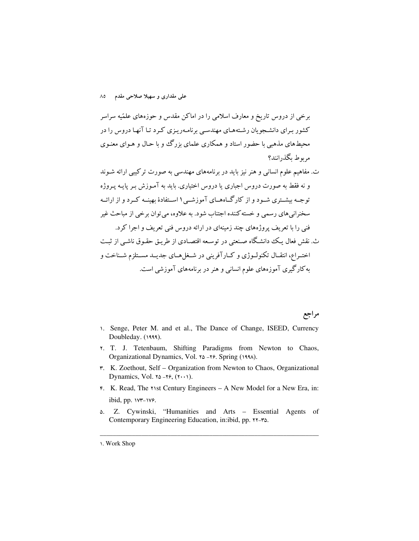برخی از دروس تاریخ و معارف اسلامی را در اماکن مقدس و حوزههای علمّیه سراسر کشور بـرای دانشـجویان رشـتههـای مهندسـی برنامـهریـزی کـرد تـا آنهـا دروس را در محیطهای مذهبی با حضور استاد و همکاری علمای بزرگ و با حیال و هیوای معنیوی مربوط یگذرانند؟

ت. مفاهیم علوم انسانی و هنر نیز باید در برنامههای مهندسی به صورت ترکیبی ارائه شـوند و نه فقط به صورت دروس اجباري يا دروس اختياري. بايد به آمـوزش بـر پايـه پـروژه توجـه بیشـتری شـود و از کارگـاههـای آموزشـی۱اسـتفادهٔ بهینــه کـرد و از ارائــه سخنرانی های رسمی و خسته کننده اجتناب شود. به علاوه، می توان برخی از مباحث غیر فني را با تعريف پروژههاي چند زمينهاي در ارائه دروس فني تعريف و اجرا كرد. ث. نقش فعال یک دانشگاه صنعتی در توسعه اقتصادی از طریق حقوق ناشبی از ثبت اختـراع، انتقــال تكنولــوژي و كــارآفريني در شــغل هــاي جديــد مســتلزم شــناخت و به کارگیری آموزههای علوم انسانی و هنر در برنامههای آموزشی است.

مراجع

- 1. Senge, Peter M. and et al., The Dance of Change, ISEED, Currency Doubleday. (1999).
- Y. T. J. Tetenbaum, Shifting Paradigms from Newton to Chaos, Organizational Dynamics, Vol. 10 -19. Spring (1994).
- r. K. Zoethout, Self Organization from Newton to Chaos, Organizational Dynamics, Vol.  $\alpha$ - $\gamma$ ,  $(\gamma \cdot \cdot)$ ).
- F. K. Read, The Y1st Century Engineers A New Model for a New Era, in: ibid, pp.  $WT-1V$ .
- ۵. Z. Cywinski, "Humanities and Arts - Essential Agents of Contemporary Engineering Education, in:ibid, pp. ٢٢-٣٥.

**<sup>1.</sup> Work Shop**